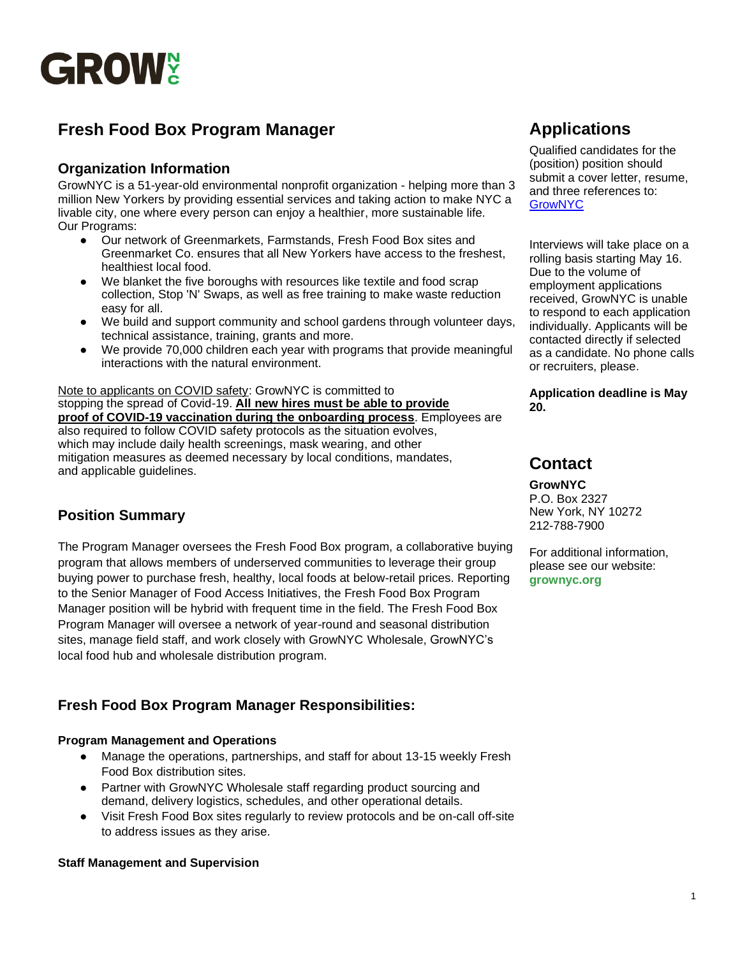

# **Fresh Food Box Program Manager**

## **Organization Information**

GrowNYC is a 51-year-old environmental nonprofit organization - helping more than 3 million New Yorkers by providing essential services and taking action to make NYC a livable city, one where every person can enjoy a healthier, more sustainable life. Our Programs:

- Our network of Greenmarkets, Farmstands, Fresh Food Box sites and Greenmarket Co. ensures that all New Yorkers have access to the freshest, healthiest local food.
- We blanket the five boroughs with resources like textile and food scrap collection, Stop 'N' Swaps, as well as free training to make waste reduction easy for all.
- We build and support community and school gardens through volunteer days, technical assistance, training, grants and more.
- We provide 70,000 children each year with programs that provide meaningful interactions with the natural environment.

Note to applicants on COVID safety: GrowNYC is committed to stopping the spread of Covid-19. **All new hires must be able to provide proof of COVID-19 vaccination during the onboarding process**. Employees are also required to follow COVID safety protocols as the situation evolves, which may include daily health screenings, mask wearing, and other mitigation measures as deemed necessary by local conditions, mandates, and applicable guidelines.

### **Position Summary**

The Program Manager oversees the Fresh Food Box program, a collaborative buying program that allows members of underserved communities to leverage their group buying power to purchase fresh, healthy, local foods at below-retail prices. Reporting to the Senior Manager of Food Access Initiatives, the Fresh Food Box Program Manager position will be hybrid with frequent time in the field. The Fresh Food Box Program Manager will oversee a network of year-round and seasonal distribution sites, manage field staff, and work closely with GrowNYC Wholesale, GrowNYC's local food hub and wholesale distribution program.

## **Fresh Food Box Program Manager Responsibilities:**

#### **Program Management and Operations**

- Manage the operations, partnerships, and staff for about 13-15 weekly Fresh Food Box distribution sites.
- Partner with GrowNYC Wholesale staff regarding product sourcing and demand, delivery logistics, schedules, and other operational details.
- Visit Fresh Food Box sites regularly to review protocols and be on-call off-site to address issues as they arise.

#### **Staff Management and Supervision**

# **Applications**

Qualified candidates for the (position) position should submit a cover letter, resume, and three references to: **[GrowNYC](https://recruiting.paylocity.com/recruiting/jobs/Details/1063800/GrowNYC/Fresh-Food-Box-Program-Manager-Full-Time)** 

Interviews will take place on a rolling basis starting May 16. Due to the volume of employment applications received, GrowNYC is unable to respond to each application individually. Applicants will be contacted directly if selected as a candidate. No phone calls or recruiters, please.

**Application deadline is May 20.**

# **Contact**

**GrowNYC** 

P.O. Box 2327 New York, NY 10272 212-788-7900

For additional information, please see our website: **grownyc.org**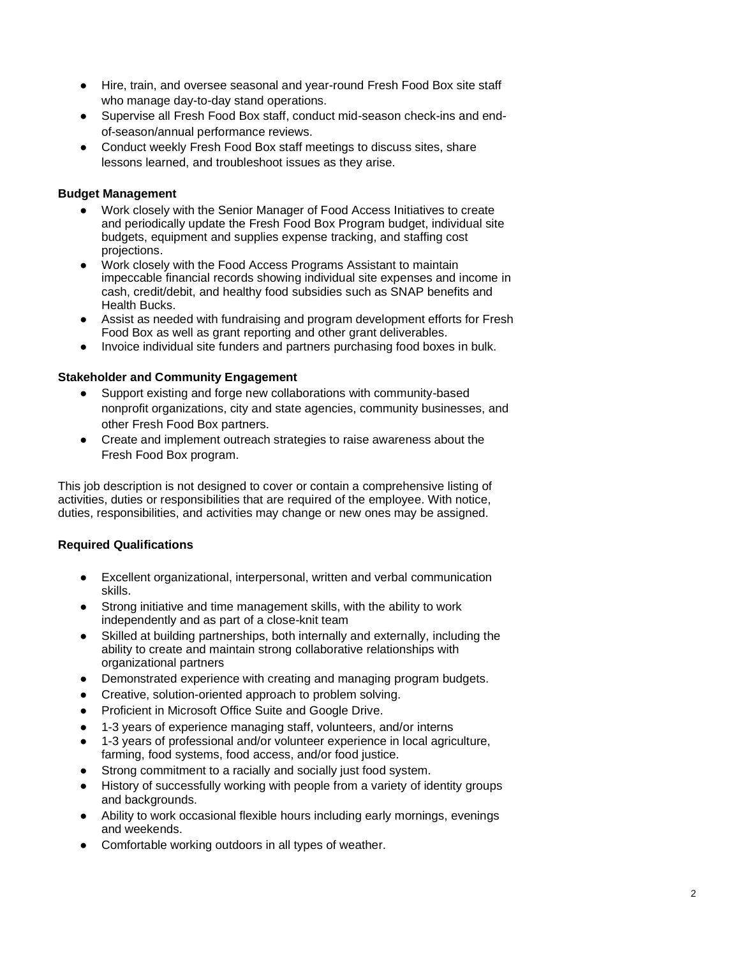- Hire, train, and oversee seasonal and year-round Fresh Food Box site staff who manage day-to-day stand operations.
- Supervise all Fresh Food Box staff, conduct mid-season check-ins and endof-season/annual performance reviews.
- Conduct weekly Fresh Food Box staff meetings to discuss sites, share lessons learned, and troubleshoot issues as they arise.

#### **Budget Management**

- Work closely with the Senior Manager of Food Access Initiatives to create and periodically update the Fresh Food Box Program budget, individual site budgets, equipment and supplies expense tracking, and staffing cost projections.
- Work closely with the Food Access Programs Assistant to maintain impeccable financial records showing individual site expenses and income in cash, credit/debit, and healthy food subsidies such as SNAP benefits and Health Bucks.
- Assist as needed with fundraising and program development efforts for Fresh Food Box as well as grant reporting and other grant deliverables.
- Invoice individual site funders and partners purchasing food boxes in bulk.

#### **Stakeholder and Community Engagement**

- Support existing and forge new collaborations with community-based nonprofit organizations, city and state agencies, community businesses, and other Fresh Food Box partners.
- Create and implement outreach strategies to raise awareness about the Fresh Food Box program.

This job description is not designed to cover or contain a comprehensive listing of activities, duties or responsibilities that are required of the employee. With notice, duties, responsibilities, and activities may change or new ones may be assigned.

#### **Required Qualifications**

- Excellent organizational, interpersonal, written and verbal communication skills.
- Strong initiative and time management skills, with the ability to work independently and as part of a close-knit team
- Skilled at building partnerships, both internally and externally, including the ability to create and maintain strong collaborative relationships with organizational partners
- Demonstrated experience with creating and managing program budgets.
- Creative, solution-oriented approach to problem solving.
- Proficient in Microsoft Office Suite and Google Drive.
- 1-3 years of experience managing staff, volunteers, and/or interns
- 1-3 years of professional and/or volunteer experience in local agriculture, farming, food systems, food access, and/or food justice.
- Strong commitment to a racially and socially just food system.
- History of successfully working with people from a variety of identity groups and backgrounds.
- Ability to work occasional flexible hours including early mornings, evenings and weekends.
- Comfortable working outdoors in all types of weather.